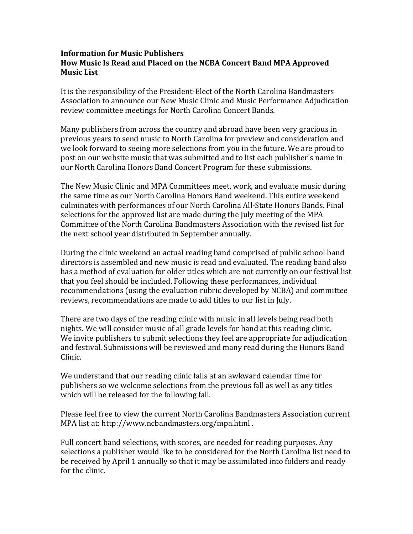## **Information for Music Publishers** How Music Is Read and Placed on the NCBA Concert Band MPA Approved **Music List**

It is the responsibility of the President-Elect of the North Carolina Bandmasters Association to announce our New Music Clinic and Music Performance Adjudication review committee meetings for North Carolina Concert Bands.

Many publishers from across the country and abroad have been very gracious in previous years to send music to North Carolina for preview and consideration and we look forward to seeing more selections from you in the future. We are proud to post on our website music that was submitted and to list each publisher's name in our North Carolina Honors Band Concert Program for these submissions.

The New Music Clinic and MPA Committees meet, work, and evaluate music during the same time as our North Carolina Honors Band weekend. This entire weekend culminates with performances of our North Carolina All-State Honors Bands. Final selections for the approved list are made during the July meeting of the MPA Committee of the North Carolina Bandmasters Association with the revised list for the next school year distributed in September annually.

During the clinic weekend an actual reading band comprised of public school band directors is assembled and new music is read and evaluated. The reading band also has a method of evaluation for older titles which are not currently on our festival list that you feel should be included. Following these performances, individual recommendations (using the evaluation rubric developed by NCBA) and committee reviews, recommendations are made to add titles to our list in July.

There are two days of the reading clinic with music in all levels being read both nights. We will consider music of all grade levels for band at this reading clinic. We invite publishers to submit selections they feel are appropriate for adjudication and festival. Submissions will be reviewed and many read during the Honors Band Clinic.

We understand that our reading clinic falls at an awkward calendar time for publishers so we welcome selections from the previous fall as well as any titles which will be released for the following fall.

Please feel free to view the current North Carolina Bandmasters Association current MPA list at: http://www.ncbandmasters.org/mpa.html.

Full concert band selections, with scores, are needed for reading purposes. Any selections a publisher would like to be considered for the North Carolina list need to be received by April 1 annually so that it may be assimilated into folders and ready for the clinic.